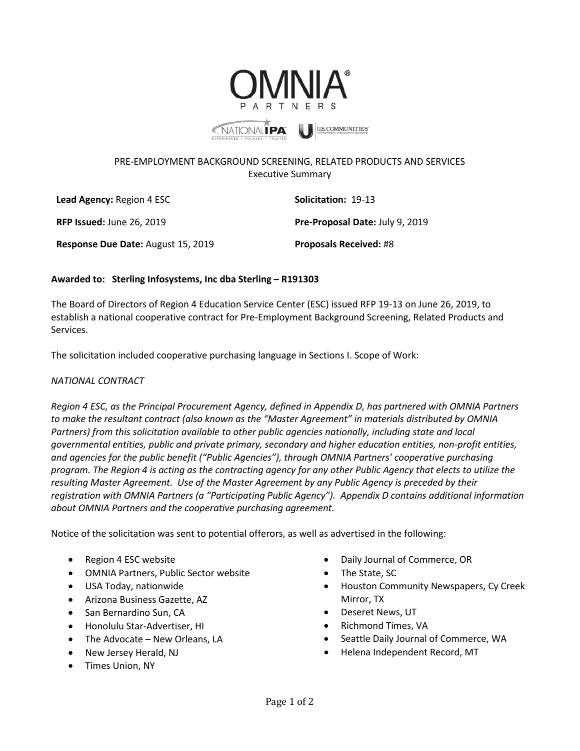

## PRE-EMPLOYMENT BACKGROUND SCREENING, RELATED PRODUCTS AND SERVICES Executive Summary

| <b>Lead Agency: Region 4 ESC</b>   | <b>Solicitation: 19-13</b>      |
|------------------------------------|---------------------------------|
| <b>RFP Issued: June 26, 2019</b>   | Pre-Proposal Date: July 9, 2019 |
| Response Due Date: August 15, 2019 | <b>Proposals Received: #8</b>   |

## **Awarded to: Sterling Infosystems, Inc dba Sterling – R191303**

The Board of Directors of Region 4 Education Service Center (ESC) issued RFP 19-13 on June 26, 2019, to establish a national cooperative contract for Pre-Employment Background Screening, Related Products and Services.

The solicitation included cooperative purchasing language in Sections I. Scope of Work:

## *NATIONAL CONTRACT*

*Region 4 ESC, as the Principal Procurement Agency, defined in Appendix D, has partnered with OMNIA Partners to make the resultant contract (also known as the "Master Agreement" in materials distributed by OMNIA Partners) from this solicitation available to other public agencies nationally, including state and local governmental entities, public and private primary, secondary and higher education entities, non-profit entities, and agencies for the public benefit ("Public Agencies"), through OMNIA Partners' cooperative purchasing program. The Region 4 is acting as the contracting agency for any other Public Agency that elects to utilize the resulting Master Agreement. Use of the Master Agreement by any Public Agency is preceded by their registration with OMNIA Partners (a "Participating Public Agency"). Appendix D contains additional information about OMNIA Partners and the cooperative purchasing agreement.*

Notice of the solicitation was sent to potential offerors, as well as advertised in the following:

- Region 4 ESC website
- OMNIA Partners, Public Sector website
- USA Today, nationwide
- Arizona Business Gazette, AZ
- San Bernardino Sun, CA
- Honolulu Star-Advertiser, HI
- The Advocate New Orleans, LA
- New Jersey Herald, NJ
- Times Union, NY
- Daily Journal of Commerce, OR
- The State, SC
- Houston Community Newspapers, Cy Creek Mirror, TX
- Deseret News, UT
- Richmond Times, VA
- Seattle Daily Journal of Commerce, WA
- Helena Independent Record, MT